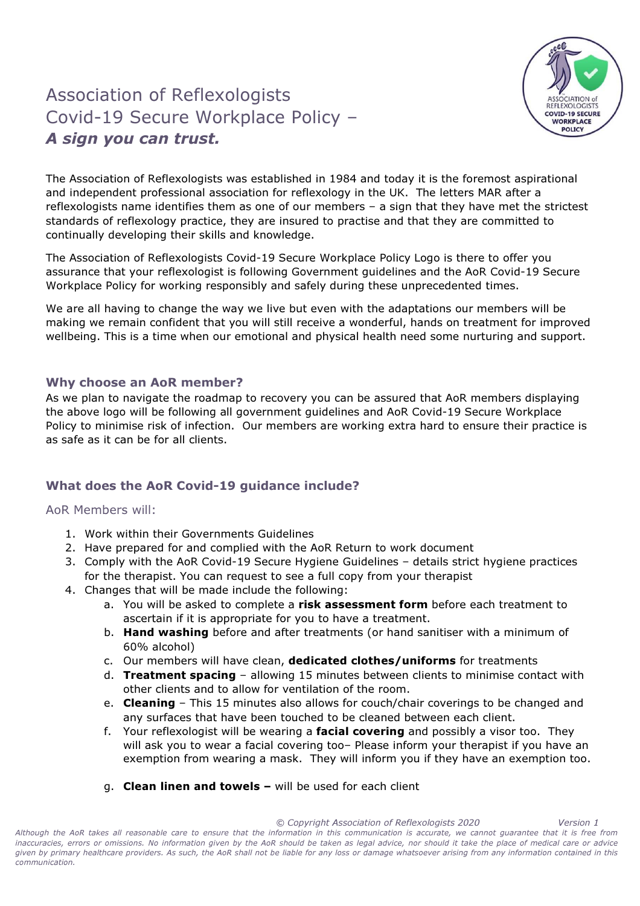## Association of Reflexologists Covid-19 Secure Workplace Policy – A sign you can trust.



The Association of Reflexologists was established in 1984 and today it is the foremost aspirational and independent professional association for reflexology in the UK. The letters MAR after a reflexologists name identifies them as one of our members – a sign that they have met the strictest standards of reflexology practice, they are insured to practise and that they are committed to continually developing their skills and knowledge.

The Association of Reflexologists Covid-19 Secure Workplace Policy Logo is there to offer you assurance that your reflexologist is following Government guidelines and the AoR Covid-19 Secure Workplace Policy for working responsibly and safely during these unprecedented times.

We are all having to change the way we live but even with the adaptations our members will be making we remain confident that you will still receive a wonderful, hands on treatment for improved wellbeing. This is a time when our emotional and physical health need some nurturing and support.

## Why choose an AoR member?

As we plan to navigate the roadmap to recovery you can be assured that AoR members displaying the above logo will be following all government guidelines and AoR Covid-19 Secure Workplace Policy to minimise risk of infection. Our members are working extra hard to ensure their practice is as safe as it can be for all clients.

## What does the AoR Covid-19 guidance include?

AoR Members will:

- 1. Work within their Governments Guidelines
- 2. Have prepared for and complied with the AoR Return to work document
- 3. Comply with the AoR Covid-19 Secure Hygiene Guidelines details strict hygiene practices for the therapist. You can request to see a full copy from your therapist
- 4. Changes that will be made include the following:
	- a. You will be asked to complete a risk assessment form before each treatment to ascertain if it is appropriate for you to have a treatment.
	- b. Hand washing before and after treatments (or hand sanitiser with a minimum of 60% alcohol)
	- c. Our members will have clean, dedicated clothes/uniforms for treatments
	- d. Treatment spacing allowing 15 minutes between clients to minimise contact with other clients and to allow for ventilation of the room.
	- e. **Cleaning** This 15 minutes also allows for couch/chair coverings to be changed and any surfaces that have been touched to be cleaned between each client.
	- f. Your reflexologist will be wearing a **facial covering** and possibly a visor too. They will ask you to wear a facial covering too– Please inform your therapist if you have an exemption from wearing a mask. They will inform you if they have an exemption too.
	- g. Clean linen and towels will be used for each client

 © Copyright Association of Reflexologists 2020 Version 1 Although the AoR takes all reasonable care to ensure that the information in this communication is accurate, we cannot guarantee that it is free from inaccuracies, errors or omissions. No information given by the AoR should be taken as legal advice, nor should it take the place of medical care or advice given by primary healthcare providers. As such, the AoR shall not be liable for any loss or damage whatsoever arising from any information contained in this communication.